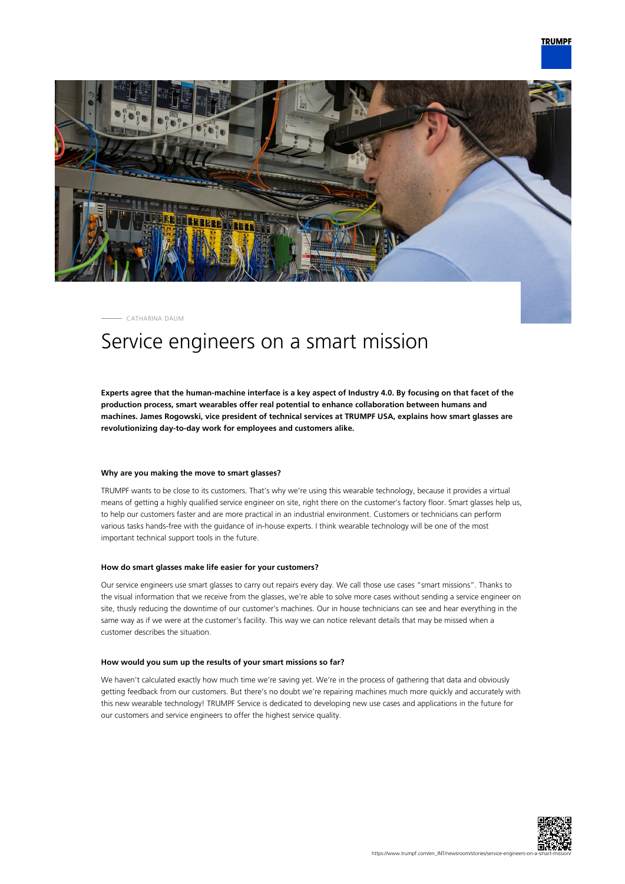

CATHARINA DAUM

## Service engineers on a smart mission

**Experts agree that the human-machine interface is a key aspect of Industry 4.0. By focusing on that facet of the production process, smart wearables offer real potential to enhance collaboration between humans and machines. James Rogowski, vice president of technical services at TRUMPF USA, explains how smart glasses are revolutionizing day-to-day work for employees and customers alike.**

## **Why are you making the move to smart glasses?**

TRUMPF wants to be close to its customers. That's why we're using this wearable technology, because it provides a virtual means of getting a highly qualified service engineer on site, right there on the customer's factory floor. Smart glasses help us, to help our customers faster and are more practical in an industrial environment. Customers or technicians can perform various tasks hands-free with the guidance of in-house experts. I think wearable technology will be one of the most important technical support tools in the future.

## **How do smart glasses make life easier for your customers?**

Our service engineers use smart glasses to carry out repairs every day. We call those use cases "smart missions". Thanks to the visual information that we receive from the glasses, we're able to solve more cases without sending a service engineer on site, thusly reducing the downtime of our customer's machines. Our in house technicians can see and hear everything in the same way as if we were at the customer's facility. This way we can notice relevant details that may be missed when a customer describes the situation.

## **How would you sum up the results of your smart missions so far?**

We haven't calculated exactly how much time we're saving yet. We're in the process of gathering that data and obviously getting feedback from our customers. But there's no doubt we're repairing machines much more quickly and accurately with this new wearable technology! TRUMPF Service is dedicated to developing new use cases and applications in the future for our customers and service engineers to offer the highest service quality.